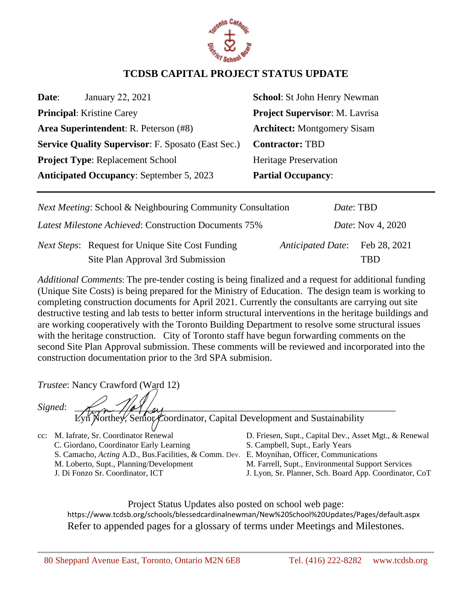

## **TCDSB CAPITAL PROJECT STATUS UPDATE**

| Date:                                                     | January 22, 2021 | <b>School:</b> St John Henry Newman |  |
|-----------------------------------------------------------|------------------|-------------------------------------|--|
| <b>Principal:</b> Kristine Carey                          |                  | Project Supervisor: M. Lavrisa      |  |
| <b>Area Superintendent: R. Peterson (#8)</b>              |                  | <b>Architect:</b> Montgomery Sisam  |  |
| <b>Service Quality Supervisor: F. Sposato (East Sec.)</b> |                  | <b>Contractor: TBD</b>              |  |
| <b>Project Type: Replacement School</b>                   |                  | <b>Heritage Preservation</b>        |  |
| <b>Anticipated Occupancy: September 5, 2023</b>           |                  | <b>Partial Occupancy:</b>           |  |

| <i>Next Meeting: School &amp; Neighbouring Community Consultation</i> |                                                              |                                | Date: TBD                |  |
|-----------------------------------------------------------------------|--------------------------------------------------------------|--------------------------------|--------------------------|--|
|                                                                       | <i>Latest Milestone Achieved: Construction Documents 75%</i> |                                | <i>Date:</i> Nov 4, 2020 |  |
|                                                                       | <i>Next Steps:</i> Request for Unique Site Cost Funding      | Anticipated Date: Feb 28, 2021 |                          |  |
|                                                                       | Site Plan Approval 3rd Submission                            |                                | TRD                      |  |

*Additional Comments*: The pre-tender costing is being finalized and a request for additional funding (Unique Site Costs) is being prepared for the Ministry of Education. The design team is working to completing construction documents for April 2021. Currently the consultants are carrying out site destructive testing and lab tests to better inform structural interventions in the heritage buildings and are working cooperatively with the Toronto Building Department to resolve some structural issues with the heritage construction. City of Toronto staff have begun forwarding comments on the second Site Plan Approval submission. These comments will be reviewed and incorporated into the construction documentation prior to the 3rd SPA submision.

*Trustee*: Nancy Crawford (Ward 12)

 $Signal: \ \ \textit{if} \ \ \textit{if} \ \ \textit{if} \ \ \textit{if} \ \ \textit{if} \ \ \textit{if} \ \ \textit{if} \ \ \textit{if} \ \ \textit{if} \ \ \textit{if} \ \ \textit{if} \ \ \textit{if} \ \ \textit{if} \ \ \textit{if} \ \ \textit{if} \ \ \textit{if} \ \ \textit{if} \ \ \textit{if} \ \ \textit{if} \ \ \textit{if} \ \ \textit{if} \ \ \textit{if} \ \ \textit{if} \ \ \textit{if} \ \ \textit{if} \ \ \textit{if} \ \ \textit{if} \ \$ 

Senior Coordinator, Capital Development and Sustainability

cc: M. Iafrate, Sr. Coordinator Renewal D. Friesen, Supt., Capital Dev., Asset Mgt., & Renewal C. Giordano, Coordinator Early Learning S. Campbell, Supt., Early Years S. Camacho, *Acting* A.D., Bus.Facilities, & Comm. Dev. E. Moynihan, Officer, Communications M. Loberto, Supt., Planning/Development M. Farrell, Supt., Environmental Support Services J. Di Fonzo Sr. Coordinator, ICT J. Lyon, Sr. Planner, Sch. Board App. Coordinator, CoT

Project Status Updates also posted on school web page: <https://www.tcdsb.org/schools/blessedcardinalnewman/New%20School%20Updates/Pages/default.aspx> Refer to appended pages for a glossary of terms under Meetings and Milestones.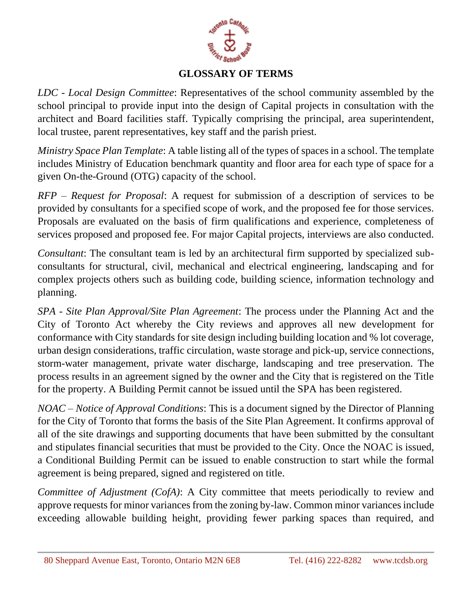

## **GLOSSARY OF TERMS**

*LDC - Local Design Committee*: Representatives of the school community assembled by the school principal to provide input into the design of Capital projects in consultation with the architect and Board facilities staff. Typically comprising the principal, area superintendent, local trustee, parent representatives, key staff and the parish priest.

*Ministry Space Plan Template*: A table listing all of the types of spaces in a school. The template includes Ministry of Education benchmark quantity and floor area for each type of space for a given On-the-Ground (OTG) capacity of the school.

*RFP – Request for Proposal*: A request for submission of a description of services to be provided by consultants for a specified scope of work, and the proposed fee for those services. Proposals are evaluated on the basis of firm qualifications and experience, completeness of services proposed and proposed fee. For major Capital projects, interviews are also conducted.

*Consultant*: The consultant team is led by an architectural firm supported by specialized subconsultants for structural, civil, mechanical and electrical engineering, landscaping and for complex projects others such as building code, building science, information technology and planning.

*SPA - Site Plan Approval/Site Plan Agreement*: The process under the Planning Act and the City of Toronto Act whereby the City reviews and approves all new development for conformance with City standards for site design including building location and % lot coverage, urban design considerations, traffic circulation, waste storage and pick-up, service connections, storm-water management, private water discharge, landscaping and tree preservation. The process results in an agreement signed by the owner and the City that is registered on the Title for the property. A Building Permit cannot be issued until the SPA has been registered.

*NOAC – Notice of Approval Conditions*: This is a document signed by the Director of Planning for the City of Toronto that forms the basis of the Site Plan Agreement. It confirms approval of all of the site drawings and supporting documents that have been submitted by the consultant and stipulates financial securities that must be provided to the City. Once the NOAC is issued, a Conditional Building Permit can be issued to enable construction to start while the formal agreement is being prepared, signed and registered on title.

*Committee of Adjustment (CofA)*: A City committee that meets periodically to review and approve requests for minor variances from the zoning by-law. Common minor variances include exceeding allowable building height, providing fewer parking spaces than required, and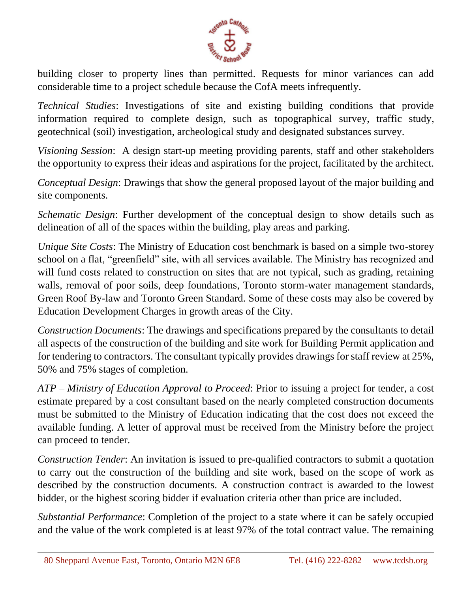

building closer to property lines than permitted. Requests for minor variances can add considerable time to a project schedule because the CofA meets infrequently.

*Technical Studies*: Investigations of site and existing building conditions that provide information required to complete design, such as topographical survey, traffic study, geotechnical (soil) investigation, archeological study and designated substances survey.

*Visioning Session*: A design start-up meeting providing parents, staff and other stakeholders the opportunity to express their ideas and aspirations for the project, facilitated by the architect.

*Conceptual Design*: Drawings that show the general proposed layout of the major building and site components.

*Schematic Design*: Further development of the conceptual design to show details such as delineation of all of the spaces within the building, play areas and parking.

*Unique Site Costs*: The Ministry of Education cost benchmark is based on a simple two-storey school on a flat, "greenfield" site, with all services available. The Ministry has recognized and will fund costs related to construction on sites that are not typical, such as grading, retaining walls, removal of poor soils, deep foundations, Toronto storm-water management standards, Green Roof By-law and Toronto Green Standard. Some of these costs may also be covered by Education Development Charges in growth areas of the City.

*Construction Documents*: The drawings and specifications prepared by the consultants to detail all aspects of the construction of the building and site work for Building Permit application and for tendering to contractors. The consultant typically provides drawings for staff review at 25%, 50% and 75% stages of completion.

*ATP – Ministry of Education Approval to Proceed*: Prior to issuing a project for tender, a cost estimate prepared by a cost consultant based on the nearly completed construction documents must be submitted to the Ministry of Education indicating that the cost does not exceed the available funding. A letter of approval must be received from the Ministry before the project can proceed to tender.

*Construction Tender*: An invitation is issued to pre-qualified contractors to submit a quotation to carry out the construction of the building and site work, based on the scope of work as described by the construction documents. A construction contract is awarded to the lowest bidder, or the highest scoring bidder if evaluation criteria other than price are included.

*Substantial Performance*: Completion of the project to a state where it can be safely occupied and the value of the work completed is at least 97% of the total contract value. The remaining